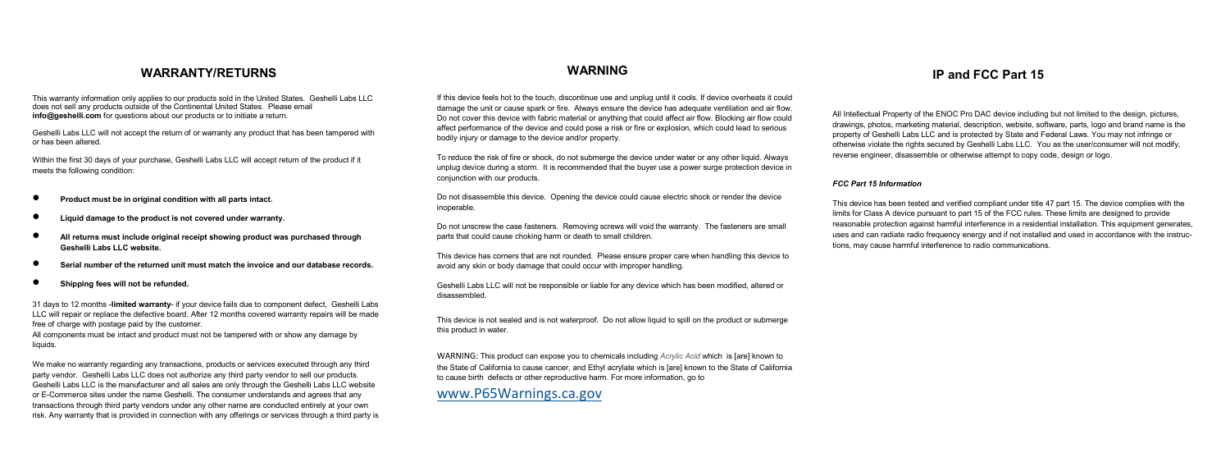# **WARRANTY/RETURNS WARNING IP and FCC Part 15**

This warranty information only applies to our products sold in the United States. Geshelli Labs LLC does not sell any products outside of the Continental United States. Please email **info@geshelli.com** for questions about our products or to initiate a return.

Geshelli Labs LLC will not accept the return of or warranty any product that has been tampered with or has been altered.

Within the first 30 days of your purchase, Geshelli Labs LLC will accept return of the product if it meets the following condition:

- **Product must be in original condition with all parts intact.**
- **Liquid damage to the product is not covered under warranty.**
- **All returns must include original receipt showing product was purchased through Geshelli Labs LLC website.**
- **Serial number of the returned unit must match the invoice and our database records.**
- **Shipping fees will not be refunded.**

31 days to 12 months -**limited warranty**- if your device fails due to component defect, Geshelli Labs LLC will repair or replace the defective board. After 12 months covered warranty repairs will be made free of charge with postage paid by the customer.

All components must be intact and product must not be tampered with or show any damage by liquids.

We make no warranty regarding any transactions, products or services executed through any third party vendor. Geshelli Labs LLC does not authorize any third party vendor to sell our products. Geshelli Labs LLC is the manufacturer and all sales are only through the Geshelli Labs LLC website or E-Commerce sites under the name Geshelli. The consumer understands and agrees that any transactions through third party vendors under any other name are conducted entirely at your own risk. Any warranty that is provided in connection with any offerings or services through a third party is

If this device feels hot to the touch, discontinue use and unplug until it cools. If device overheats it could damage the unit or cause spark or fire. Always ensure the device has adequate ventilation and air flow. Do not cover this device with fabric material or anything that could affect air flow. Blocking air flow could affect performance of the device and could pose a risk or fire or explosion, which could lead to serious bodily injury or damage to the device and/or property.

To reduce the risk of fire or shock, do not submerge the device under water or any other liquid. Always unplug device during a storm. It is recommended that the buyer use a power surge protection device in conjunction with our products.

Do not disassemble this device. Opening the device could cause electric shock or render the device inoperable.

Do not unscrew the case fasteners. Removing screws will void the warranty. The fasteners are small parts that could cause choking harm or death to small children.

This device has corners that are not rounded. Please ensure proper care when handling this device to avoid any skin or body damage that could occur with improper handling.

Geshelli Labs LLC will not be responsible or liable for any device which has been modified, altered or disassembled.

This device is not sealed and is not waterproof. Do not allow liquid to spill on the product or submerge this product in water.

WARNING: This product can expose you to chemicals including *Acrylic Acid* which is [are] known to the State of California to cause cancer, and Ethyl acrylate which is [are] known to the State of California to cause birth defects or other reproductive harm. For more information, go to

[www.P65Warnings.ca.gov](http://www.p65warnings.ca.gov/)

All Intellectual Property of the ENOC Pro DAC device including but not limited to the design, pictures, drawings, photos, marketing material, description, website, software, parts, logo and brand name is the property of Geshelli Labs LLC and is protected by State and Federal Laws. You may not infringe or otherwise violate the rights secured by Geshelli Labs LLC. You as the user/consumer will not modify, reverse engineer, disassemble or otherwise attempt to copy code, design or logo.

### *FCC Part 15 Information*

This device has been tested and verified compliant under title 47 part 15. The device complies with the limits for Class A device pursuant to part 15 of the FCC rules. These limits are designed to provide reasonable protection against harmful interference in a residential installation. This equipment generates, uses and can radiate radio frequency energy and if not installed and used in accordance with the instructions, may cause harmful interference to radio communications.